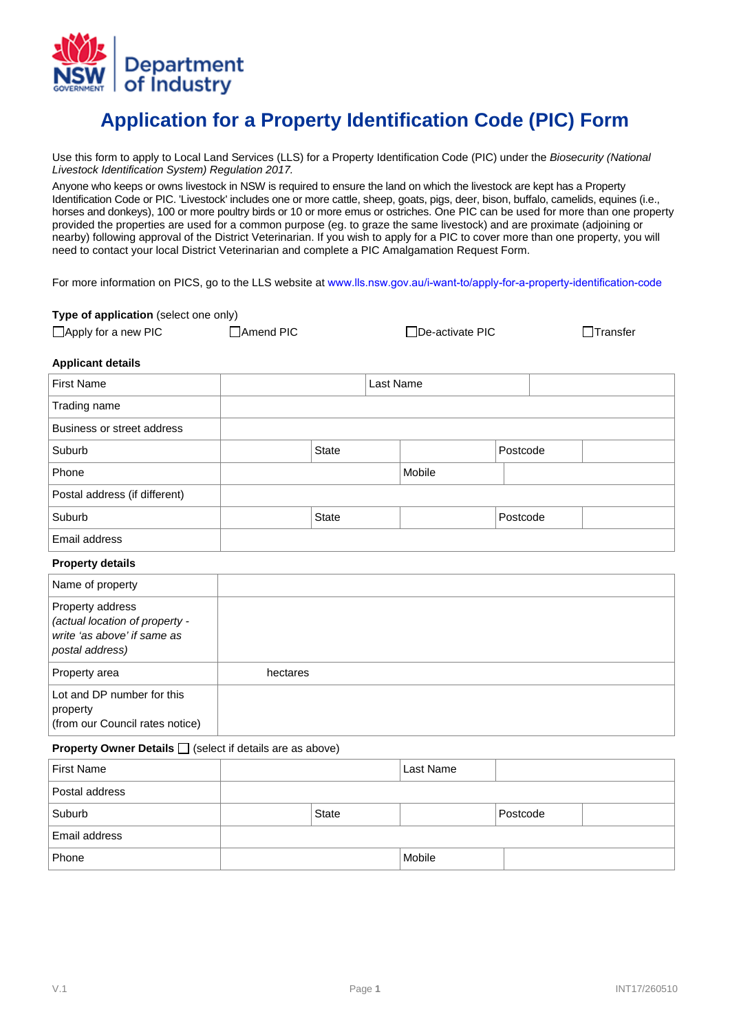

## **Application for a Property Identification Code (PIC) Form**

Use this form to apply to Local Land Services (LLS) for a Property Identification Code (PIC) under the *Biosecurity (National Livestock Identification System) Regulation 2017.* 

Anyone who keeps or owns livestock in NSW is required to ensure the land on which the livestock are kept has a Property Identification Code or PIC. 'Livestock' includes one or more cattle, sheep, goats, pigs, deer, bison, buffalo, camelids, equines (i.e., horses and donkeys), 100 or more poultry birds or 10 or more emus or ostriches. One PIC can be used for more than one property provided the properties are used for a common purpose (eg. to graze the same livestock) and are proximate (adjoining or nearby) following approval of the District Veterinarian. If you wish to apply for a PIC to cover more than one property, you will need to contact your local District Veterinarian and complete a PIC Amalgamation Request Form.

For more information on PICS, go to the LLS website at [www.lls.nsw.gov.au/i-want-to/apply-for-a](https://www.lls.nsw.gov.au/livestock/pics)[-property-identification-code](https://www.lls.nsw.gov.au/i-want-to/apply-for-a-property-identification-code)

**Type of application** (select one only)

| <b>i</b> ype or application (Science one only) |                  |                  |                 |
|------------------------------------------------|------------------|------------------|-----------------|
| $\Box$ Apply for a new PIC                     | <b>Amend PIC</b> | □De-activate PIC | $\Box$ Transfer |

## **Applicant details**

| <b>First Name</b>                                                                                    |          |              | Last Name |           |          |  |
|------------------------------------------------------------------------------------------------------|----------|--------------|-----------|-----------|----------|--|
| Trading name                                                                                         |          |              |           |           |          |  |
| Business or street address                                                                           |          |              |           |           |          |  |
| Suburb                                                                                               |          | <b>State</b> |           |           | Postcode |  |
| Phone                                                                                                |          |              |           | Mobile    |          |  |
| Postal address (if different)                                                                        |          |              |           |           |          |  |
| Suburb                                                                                               |          | <b>State</b> |           |           | Postcode |  |
| Email address                                                                                        |          |              |           |           |          |  |
| <b>Property details</b>                                                                              |          |              |           |           |          |  |
| Name of property                                                                                     |          |              |           |           |          |  |
| Property address<br>(actual location of property -<br>write 'as above' if same as<br>postal address) |          |              |           |           |          |  |
| Property area                                                                                        | hectares |              |           |           |          |  |
| Lot and DP number for this<br>property<br>(from our Council rates notice)                            |          |              |           |           |          |  |
| <b>Property Owner Details</b> $\Box$ (select if details are as above)                                |          |              |           |           |          |  |
| <b>First Name</b>                                                                                    |          |              |           | Last Name |          |  |
| Postal address                                                                                       |          |              |           |           |          |  |
| Suburb                                                                                               |          | State        |           |           | Postcode |  |
| Email address                                                                                        |          |              |           |           |          |  |

Phone Mobile Research Mobile (Mobile Research)